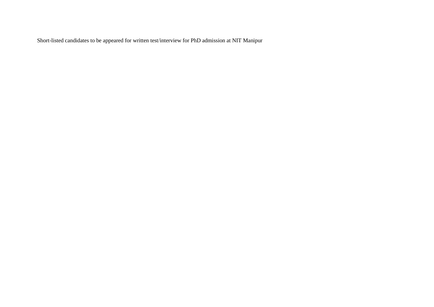Short-listed candidates to be appeared for written test/interview for PhD admission at NIT Manipur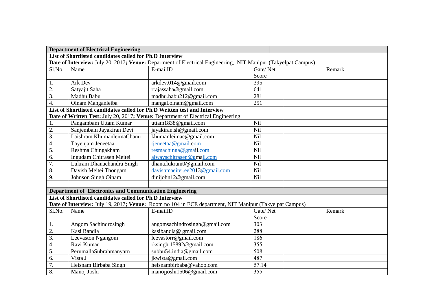|                                                          | <b>Department of Electrical Engineering</b>                               |                                                                                                               |          |        |  |
|----------------------------------------------------------|---------------------------------------------------------------------------|---------------------------------------------------------------------------------------------------------------|----------|--------|--|
| List of Shortlisted candidates called for Ph.D Interview |                                                                           |                                                                                                               |          |        |  |
|                                                          |                                                                           | Date of Interview: July 20, 2017; Venue: Department of Electrical Engineering, NIT Manipur (Takyelpat Campus) |          |        |  |
| Sl.No.                                                   | Name                                                                      | E-mailID                                                                                                      | Gate/Net | Remark |  |
|                                                          |                                                                           |                                                                                                               | Score    |        |  |
| 1.                                                       | Ark Dev                                                                   | arkdev.014@gmail.com                                                                                          | 395      |        |  |
| $\overline{2}$ .                                         | Satyajit Saha                                                             | rrajassaha@gmail.com                                                                                          | 641      |        |  |
| $\overline{3}$ .                                         | Madhu Babu                                                                | madhu.babu212@gmail.com                                                                                       | 281      |        |  |
| $\overline{4}$ .                                         | Oinam Manganleiba                                                         | mangal.oinam@gmail.com                                                                                        | 251      |        |  |
|                                                          | List of Shortlisted candidates called for Ph.D Written test and Interview |                                                                                                               |          |        |  |
|                                                          |                                                                           | Date of Written Test: July 20, 2017; Venue: Department of Electrical Engineering                              |          |        |  |
| 1.                                                       | Pangambam Uttam Kumar                                                     | uttam1838@gmail.com                                                                                           | Nil      |        |  |
| $\overline{2}$ .                                         | Sanjembam Jayakiran Devi                                                  | jayakiran.sh@gmail.com                                                                                        | Nil      |        |  |
| $\overline{3}$ .                                         | Laishram KhumanleimaChanu                                                 | khumanleimac@gmail.com                                                                                        | Nil      |        |  |
| $\overline{4}$ .                                         | Tayenjam Jeneetaa                                                         | tieneetaa@gmail.com                                                                                           | Nil      |        |  |
| 5.                                                       | Reshma Chingakham                                                         | resmachinga@gmail.com                                                                                         | Nil      |        |  |
| $\overline{6}$ .                                         | Ingudam Chitrasen Meitei                                                  | alwayschitrasen@gmail.com                                                                                     | Nil      |        |  |
| $\overline{7}$ .                                         | Lukram Dhanachandra Singh                                                 | dhana.lukram0@gmail.com                                                                                       | Nil      |        |  |
| 8.                                                       | Davish Meitei Thongam                                                     | davishmaeitei.ee2013@gmail.com                                                                                | Nil      |        |  |
| 9.                                                       | Johnson Singh Oinam                                                       | dinijohn $12@$ gmail.com                                                                                      | Nil      |        |  |
|                                                          |                                                                           |                                                                                                               |          |        |  |
|                                                          | <b>Department of Electronics and Communication Engineering</b>            |                                                                                                               |          |        |  |
|                                                          | List of Shortlisted candidates called for Ph.D Interview                  |                                                                                                               |          |        |  |
|                                                          |                                                                           | Date of Interview: July 19, 2017; Venue: Room no 104 in ECE department, NIT Manipur (Takyelpat Campus)        |          |        |  |
| Sl.No.                                                   | Name                                                                      | E-mailID                                                                                                      | Gate/Net | Remark |  |
|                                                          |                                                                           |                                                                                                               | Score    |        |  |
| 1.                                                       | Angom Sachindrosingh                                                      | angomsachindrosingh@gmail.com                                                                                 | 303      |        |  |
| $\overline{2}$ .                                         | Kasi Bandla                                                               | kasibandla@ gmail.com                                                                                         | 288      |        |  |
| $\overline{3}$ .                                         | <b>Leevaston Ngangom</b>                                                  | leevastorr@gmail.com                                                                                          | 186      |        |  |
| $\overline{4}$ .                                         | Ravi Kumar                                                                | rksingh.15892@gmail.com                                                                                       | 355      |        |  |
| 5.                                                       | PerumallaSubrahmanyarn                                                    | subbu54.india@gmail.com                                                                                       | 508      |        |  |
| 6.                                                       | Vista J                                                                   | jkwista@gmail.com                                                                                             | 487      |        |  |
| 7.                                                       | Heisnam Birbaba Singh                                                     | heisnambirbaba@vahoo.com                                                                                      | 57.14    |        |  |
| $\overline{8}$ .                                         | Manoj Joshi                                                               | manojjoshi1506@gmail.com                                                                                      | 355      |        |  |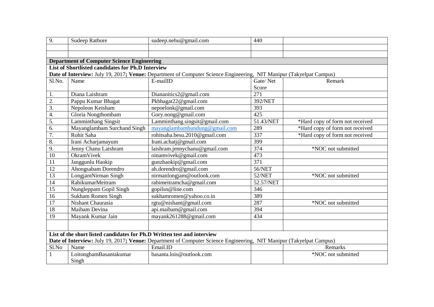| 9.                                                                                                                                                                                             | <b>Sudeep Rathore</b>                             | sudeep.nehu@gmail.com                                                                                               | 440           |                                 |  |
|------------------------------------------------------------------------------------------------------------------------------------------------------------------------------------------------|---------------------------------------------------|---------------------------------------------------------------------------------------------------------------------|---------------|---------------------------------|--|
|                                                                                                                                                                                                |                                                   |                                                                                                                     |               |                                 |  |
|                                                                                                                                                                                                |                                                   |                                                                                                                     |               |                                 |  |
|                                                                                                                                                                                                | <b>Department of Computer Science Engineering</b> |                                                                                                                     |               |                                 |  |
|                                                                                                                                                                                                | List of Shortlisted candidates for Ph.D Interview |                                                                                                                     |               |                                 |  |
|                                                                                                                                                                                                |                                                   | Date of Interview: July 19, 2017; Venue: Department of Computer Science Engineering, NIT Manipur (Takyelpat Campus) |               |                                 |  |
| Sl.No.                                                                                                                                                                                         | Name                                              | E-mailID                                                                                                            | Gate/Net      | Remark                          |  |
|                                                                                                                                                                                                |                                                   |                                                                                                                     | Score         |                                 |  |
| 1.                                                                                                                                                                                             | Diana Laishram                                    | Diananitics2@gmail.com                                                                                              | 271           |                                 |  |
| $\overline{2}$ .                                                                                                                                                                               | Pappu Kumar Bhagat                                | Pkbhagat22@gmail.com                                                                                                | 392/NET       |                                 |  |
| $\overline{3}$ .                                                                                                                                                                               | Nepoleon Keisham                                  | nepoelonk@gmail.com                                                                                                 | 393           |                                 |  |
| 4.                                                                                                                                                                                             | Gloria Nongthombam                                | Gory.nong@gmail.com                                                                                                 | 425           |                                 |  |
| $\overline{5}$ .                                                                                                                                                                               | Lamminthang Singsit                               | Lamminthang.singsit@gmail.com                                                                                       | 51.43/NET     | *Hard copy of form not received |  |
| 6.                                                                                                                                                                                             | Mayanglambam Surchand Singh                       | mayanglambamhundung@gmail.com                                                                                       | 289           | *Hard copy of form not received |  |
| $\overline{7}$ .                                                                                                                                                                               | Rohit Saha                                        | rohitsaha.besu.2010@gmail.com                                                                                       | 337           | *Hard copy of form not received |  |
| 8.                                                                                                                                                                                             | Irani Acharjamayum                                | Irani.achatj@gmail.com                                                                                              | 399           |                                 |  |
| 9.                                                                                                                                                                                             | Jenny Chanu Laishram                              | laishram.jennychanu@gmail.com                                                                                       | 374           | *NOC not submitted              |  |
| 10                                                                                                                                                                                             | OkramVivek                                        | oinamvivek@gmail.com                                                                                                | 473           |                                 |  |
| 11                                                                                                                                                                                             | Janggunlu Haokip                                  | gunzhaokip@gmail.com                                                                                                | 371           |                                 |  |
| $\overline{12}$                                                                                                                                                                                | Ahongsabam Dorendro                               | ah.dorendro@gmail.com                                                                                               | <b>56/NET</b> |                                 |  |
| 13                                                                                                                                                                                             | LongjamNirman Singh                               | nirmanlongjam@outlook.com                                                                                           | 52/NET        | *NOC not submitted              |  |
| 14                                                                                                                                                                                             | RabikumarMeitram                                  | rabimeitramcha@gmail.com                                                                                            | 52.57/NET     |                                 |  |
| $\overline{15}$                                                                                                                                                                                | Nungleppam Gopil Singh                            | gopilsn@line.com                                                                                                    | 346           |                                 |  |
| $\overline{16}$                                                                                                                                                                                | <b>Sukham Romen Singh</b>                         | sukhamromen@yahoo.co.in                                                                                             | 389           |                                 |  |
| 17                                                                                                                                                                                             | Nishant Chaurasia                                 | rgtu@nishant@gmail.com                                                                                              | 287           | *NOC not submitted              |  |
| $\overline{18}$                                                                                                                                                                                | Maibam Devina                                     | api.maibam@gmail.com                                                                                                | 394           |                                 |  |
| 19                                                                                                                                                                                             | Mayank Kumar Jain                                 | mayank261288@gmail.com                                                                                              | 434           |                                 |  |
|                                                                                                                                                                                                |                                                   |                                                                                                                     |               |                                 |  |
|                                                                                                                                                                                                |                                                   |                                                                                                                     |               |                                 |  |
| List of the short listed candidates for Ph.D Written test and interview<br>Date of Interview: July 19, 2017; Venue: Department of Computer Science Engineering, NIT Manipur (Takyelpat Campus) |                                                   |                                                                                                                     |               |                                 |  |
|                                                                                                                                                                                                |                                                   |                                                                                                                     |               |                                 |  |
| Sl.No                                                                                                                                                                                          | Name                                              | Email.ID                                                                                                            |               | Remarks                         |  |
| $\mathbf{1}$                                                                                                                                                                                   | LoitongbamBasantakumar<br>Singh                   | basanta.lois@outlook.com                                                                                            |               | *NOC not submitted              |  |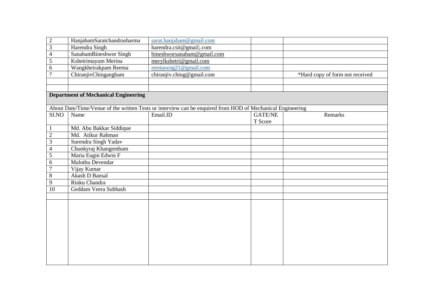| $\overline{2}$  | HanjabamSaratchandrasharma                  | sarat.hanjabam@gmail.com                                                                                   |                |                                 |
|-----------------|---------------------------------------------|------------------------------------------------------------------------------------------------------------|----------------|---------------------------------|
| $\overline{3}$  | Harendra Singh                              | harendra.csit@gmail;.com                                                                                   |                |                                 |
| $\overline{4}$  | SanabamBineshwor Singh                      | bineshworsanabam@gmail.com                                                                                 |                |                                 |
| $\overline{5}$  | Kshetrimayum Merina                         | merylkshetri@gmail.com                                                                                     |                |                                 |
| $\overline{6}$  | Wangkheirakpam Reema                        | reemawng21@gmail.com                                                                                       |                |                                 |
| $\overline{7}$  | ChiranjivChingangbam                        | chiranjiv.ching@gmail.com                                                                                  |                | *Hard copy of form not received |
|                 |                                             |                                                                                                            |                |                                 |
|                 |                                             |                                                                                                            |                |                                 |
|                 | <b>Department of Mechanical Engineering</b> |                                                                                                            |                |                                 |
|                 |                                             |                                                                                                            |                |                                 |
|                 |                                             | About Date/Time/Venue of the written Tests or interview can be enquired from HOD of Mechanical Engineering |                |                                 |
| SI.NO           | Name                                        | Email.ID                                                                                                   | <b>GATE/NE</b> | Remarks                         |
|                 |                                             |                                                                                                            | T Score        |                                 |
| $\mathbf{1}$    | Md. Abu Bakkar Siddique                     |                                                                                                            |                |                                 |
| $\overline{2}$  | Md. Atikur Rahman                           |                                                                                                            |                |                                 |
| $\overline{3}$  | Surendra Singh Yadav                        |                                                                                                            |                |                                 |
| $\overline{4}$  | Chunkyraj Khangembam                        |                                                                                                            |                |                                 |
| $\overline{5}$  | Maria Eugin Edwin F                         |                                                                                                            |                |                                 |
| $\overline{6}$  | Malothu Devendar                            |                                                                                                            |                |                                 |
| $\overline{7}$  | Vijay Kumar                                 |                                                                                                            |                |                                 |
| $8\,$           | <b>Akash D Bansal</b>                       |                                                                                                            |                |                                 |
| 9               | Rinku Chandra                               |                                                                                                            |                |                                 |
| $\overline{10}$ | Geddam Veera Subhash                        |                                                                                                            |                |                                 |
|                 |                                             |                                                                                                            |                |                                 |
|                 |                                             |                                                                                                            |                |                                 |
|                 |                                             |                                                                                                            |                |                                 |
|                 |                                             |                                                                                                            |                |                                 |
|                 |                                             |                                                                                                            |                |                                 |
|                 |                                             |                                                                                                            |                |                                 |
|                 |                                             |                                                                                                            |                |                                 |
|                 |                                             |                                                                                                            |                |                                 |
|                 |                                             |                                                                                                            |                |                                 |
|                 |                                             |                                                                                                            |                |                                 |
|                 |                                             |                                                                                                            |                |                                 |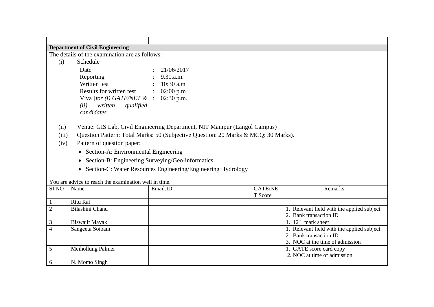| <b>Department of Civil Engineering</b> |                                                                |                                                                                    |                |                                                        |  |  |
|----------------------------------------|----------------------------------------------------------------|------------------------------------------------------------------------------------|----------------|--------------------------------------------------------|--|--|
|                                        | The details of the examination are as follows:                 |                                                                                    |                |                                                        |  |  |
| (i)                                    | Schedule                                                       |                                                                                    |                |                                                        |  |  |
|                                        | Date                                                           | 21/06/2017                                                                         |                |                                                        |  |  |
|                                        | Reporting                                                      | 9.30.a.m.                                                                          |                |                                                        |  |  |
|                                        | Written test                                                   | $10:30$ a.m                                                                        |                |                                                        |  |  |
|                                        | Results for written test                                       | 02:00 p.m<br>$\mathcal{L}^{\mathcal{L}}$                                           |                |                                                        |  |  |
|                                        | Viva [for (i) GATE/NET $\&$ : 02:30 p.m.                       |                                                                                    |                |                                                        |  |  |
|                                        | written<br>qualified<br>(ii)                                   |                                                                                    |                |                                                        |  |  |
|                                        | candidates]                                                    |                                                                                    |                |                                                        |  |  |
| (ii)                                   |                                                                | Venue: GIS Lab, Civil Engineering Department, NIT Manipur (Langol Campus)          |                |                                                        |  |  |
| (iii)                                  |                                                                | Question Pattern: Total Marks: 50 (Subjective Question: 20 Marks & MCQ: 30 Marks). |                |                                                        |  |  |
| (iv)                                   |                                                                |                                                                                    |                |                                                        |  |  |
|                                        | Pattern of question paper:                                     |                                                                                    |                |                                                        |  |  |
|                                        | • Section-A: Environmental Engineering                         |                                                                                    |                |                                                        |  |  |
|                                        | • Section-B: Engineering Surveying/Geo-informatics             |                                                                                    |                |                                                        |  |  |
|                                        | • Section-C: Water Resources Engineering/Engineering Hydrology |                                                                                    |                |                                                        |  |  |
|                                        |                                                                |                                                                                    |                |                                                        |  |  |
|                                        | You are advice to reach the examination well in time.          |                                                                                    |                |                                                        |  |  |
| SI.NO                                  | Name                                                           | Email.ID                                                                           | <b>GATE/NE</b> | Remarks                                                |  |  |
|                                        |                                                                |                                                                                    | T Score        |                                                        |  |  |
| $\mathbf{1}$                           | Ritu Rai                                                       |                                                                                    |                |                                                        |  |  |
| $\overline{2}$                         | Bilashini Chanu                                                |                                                                                    |                | 1. Relevant field with the applied subject             |  |  |
|                                        |                                                                |                                                                                    |                | 2. Bank transaction ID                                 |  |  |
| $\mathfrak{Z}$                         | Biswajit Mayak                                                 |                                                                                    |                | 1. $12th$ mark sheet                                   |  |  |
| $\overline{4}$                         | Sangeeta Soibam                                                |                                                                                    |                | 1. Relevant field with the applied subject             |  |  |
|                                        |                                                                |                                                                                    |                | 2. Bank transaction ID                                 |  |  |
|                                        |                                                                |                                                                                    |                | 3. NOC at the time of admission                        |  |  |
| 5                                      | Meihollung Palmei                                              |                                                                                    |                | 1. GATE score card copy<br>2. NOC at time of admission |  |  |
| 6                                      | N. Momo Singh                                                  |                                                                                    |                |                                                        |  |  |
|                                        |                                                                |                                                                                    |                |                                                        |  |  |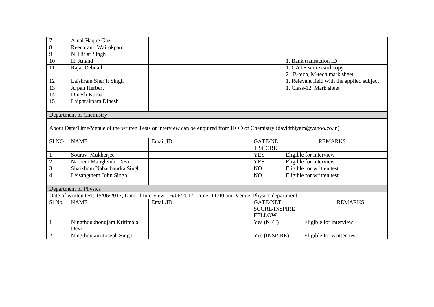| $\overline{7}$           | Ainal Haque Gazi           |                                                                                                                         |                      |                           |                                            |
|--------------------------|----------------------------|-------------------------------------------------------------------------------------------------------------------------|----------------------|---------------------------|--------------------------------------------|
| $\overline{8}$           | Reenarani Wairokpam        |                                                                                                                         |                      |                           |                                            |
| 9                        | N. Hitlar Singh            |                                                                                                                         |                      |                           |                                            |
| 10                       | H. Anand                   |                                                                                                                         |                      |                           | 1. Bank transaction ID                     |
| 11                       | Rajat Debnath              |                                                                                                                         |                      |                           | 1. GATE score card copy                    |
|                          |                            |                                                                                                                         |                      |                           | 2. B-tech, M-tech mark sheet               |
| 12                       | Laishram Sherjit Singh     |                                                                                                                         |                      |                           | 1. Relevant field with the applied subject |
| $\overline{13}$          | Arpan Herbert              |                                                                                                                         |                      |                           | 1. Class-12 Mark sheet                     |
| 14                       | Dinesh Kumar               |                                                                                                                         |                      |                           |                                            |
| 15                       | Laiphrakpam Dinesh         |                                                                                                                         |                      |                           |                                            |
|                          |                            |                                                                                                                         |                      |                           |                                            |
|                          | Department of Chemistry    |                                                                                                                         |                      |                           |                                            |
|                          |                            |                                                                                                                         |                      |                           |                                            |
|                          |                            | About Date/Time/Venue of the written Tests or interview can be enquired from HOD of Chemistry (davidthiyam@yahoo.co.in) |                      |                           |                                            |
|                          |                            |                                                                                                                         |                      |                           |                                            |
| SI <sub>NO</sub>         | <b>NAME</b>                | Email.ID                                                                                                                | <b>GATE/NE</b>       |                           | <b>REMARKS</b>                             |
|                          |                            |                                                                                                                         | <b>T SCORE</b>       |                           |                                            |
| $\mathbf{1}$             | Sourav Mukherjee           |                                                                                                                         | <b>YES</b>           |                           | Eligible for interview                     |
| $\overline{c}$           | Naorem Manglembi Devi      |                                                                                                                         | <b>YES</b>           |                           | Eligible for interview                     |
| $\overline{3}$           | Shaikhom Nabachandra Singh |                                                                                                                         | NO                   | Eligible for written test |                                            |
| $\overline{\mathcal{L}}$ | Leisangthem John Singh     |                                                                                                                         | N <sub>O</sub>       |                           | Eligible for written test                  |
|                          |                            |                                                                                                                         |                      |                           |                                            |
|                          | Department of Physics      |                                                                                                                         |                      |                           |                                            |
|                          |                            | Date of written test: 15/06/2017, Date of Interview: 16/06/2017, Time: 11:00 am, Venue: Physics department.             |                      |                           |                                            |
| Sl <sub>No.</sub>        | <b>NAME</b>                | Email.ID                                                                                                                | <b>GATE/NET</b>      |                           | <b>REMARKS</b>                             |
|                          |                            |                                                                                                                         | <b>SCORE/INSPIRE</b> |                           |                                            |
|                          |                            |                                                                                                                         | <b>FELLOW</b>        |                           |                                            |
| $\mathbf{1}$             | Ningthoukhongjam Kritimala |                                                                                                                         | Yes (NET)            |                           | Eligible for interview                     |
|                          | Devi                       |                                                                                                                         |                      |                           |                                            |
| $\overline{2}$           | Ningthoujam Joseph Singh   |                                                                                                                         | Yes (INSPIRE)        |                           | Eligible for written test                  |